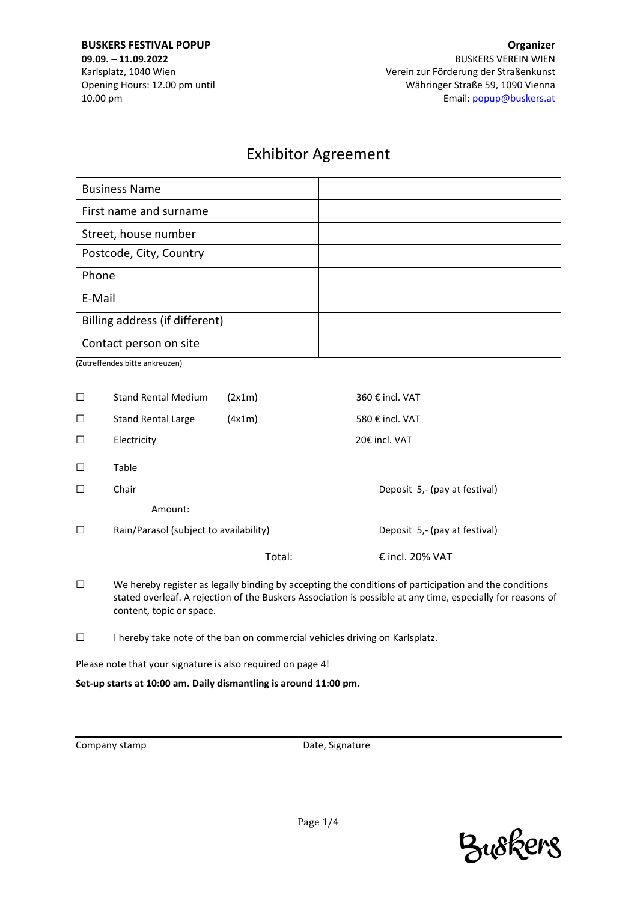**BUSKERS FESTIVAL POPUP 09.09. – 11.09.2022** Karlsplatz, 1040 Wien Opening Hours: 12.00 pm until 10.00 pm

# Exhibitor Agreement

| <b>Business Name</b>           |  |
|--------------------------------|--|
| First name and surname         |  |
| Street, house number           |  |
| Postcode, City, Country        |  |
| Phone                          |  |
| E-Mail                         |  |
| Billing address (if different) |  |
| Contact person on site         |  |

(Zutreffendes bitte ankreuzen)

| $\Box$ | <b>Stand Rental Medium</b>             | (2x1m) | 360 € incl. VAT               |
|--------|----------------------------------------|--------|-------------------------------|
| $\Box$ | <b>Stand Rental Large</b>              | (4x1m) | 580 € incl. VAT               |
| $\Box$ | Electricity                            |        | 20€ incl. VAT                 |
| $\Box$ | Table                                  |        |                               |
| $\Box$ | Chair                                  |        | Deposit 5,- (pay at festival) |
|        | Amount:                                |        |                               |
| $\Box$ | Rain/Parasol (subject to availability) |        | Deposit 5,- (pay at festival) |
|        |                                        | Total: | € incl. 20% VAT               |

- ☐ We hereby register as legally binding by accepting the conditions of participation and the conditions stated overleaf. A rejection of the Buskers Association is possible at any time, especially for reasons of content, topic or space.
- ☐ I hereby take note of the ban on commercial vehicles driving on Karlsplatz.

Please note that your signature is also required on page 4!

**Set-up starts at 10:00 am. Daily dismantling is around 11:00 pm.**

Company stamp **Date**, Signature

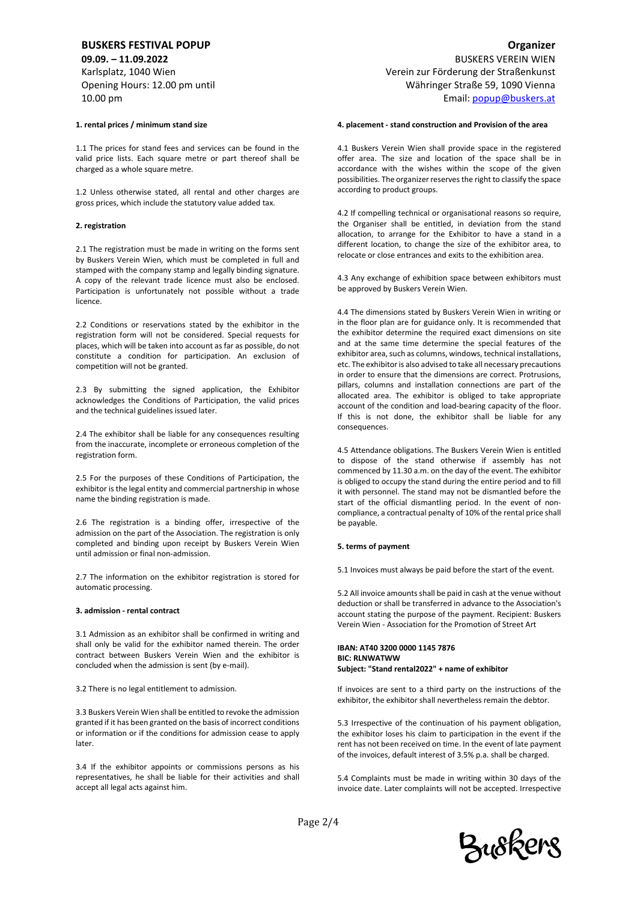# **BUSKERS FESTIVAL POPUP**

**09.09. – 11.09.2022** Karlsplatz, 1040 Wien Opening Hours: 12.00 pm until 10.00 pm

## **1. rental prices / minimum stand size**

1.1 The prices for stand fees and services can be found in the valid price lists. Each square metre or part thereof shall be charged as a whole square metre.

1.2 Unless otherwise stated, all rental and other charges are gross prices, which include the statutory value added tax.

#### **2. registration**

2.1 The registration must be made in writing on the forms sent by Buskers Verein Wien, which must be completed in full and stamped with the company stamp and legally binding signature. A copy of the relevant trade licence must also be enclosed. Participation is unfortunately not possible without a trade licence.

2.2 Conditions or reservations stated by the exhibitor in the registration form will not be considered. Special requests for places, which will be taken into account as far as possible, do not constitute a condition for participation. An exclusion of competition will not be granted.

2.3 By submitting the signed application, the Exhibitor acknowledges the Conditions of Participation, the valid prices and the technical guidelines issued later.

2.4 The exhibitor shall be liable for any consequences resulting from the inaccurate, incomplete or erroneous completion of the registration form.

2.5 For the purposes of these Conditions of Participation, the exhibitor is the legal entity and commercial partnership in whose name the binding registration is made.

2.6 The registration is a binding offer, irrespective of the admission on the part of the Association. The registration is only completed and binding upon receipt by Buskers Verein Wien until admission or final non-admission.

2.7 The information on the exhibitor registration is stored for automatic processing.

#### **3. admission - rental contract**

3.1 Admission as an exhibitor shall be confirmed in writing and shall only be valid for the exhibitor named therein. The order contract between Buskers Verein Wien and the exhibitor is concluded when the admission is sent (by e-mail).

3.2 There is no legal entitlement to admission.

3.3 Buskers Verein Wien shall be entitled to revoke the admission granted if it has been granted on the basis of incorrect conditions or information or if the conditions for admission cease to apply later.

3.4 If the exhibitor appoints or commissions persons as his representatives, he shall be liable for their activities and shall accept all legal acts against him.

BUSKERS VEREIN WIEN Verein zur Förderung der Straßenkunst Währinger Straße 59, 1090 Vienna Email[: popup@buskers.at](mailto:popup@buskers.at)

#### **4. placement - stand construction and Provision of the area**

4.1 Buskers Verein Wien shall provide space in the registered offer area. The size and location of the space shall be in accordance with the wishes within the scope of the given possibilities. The organizer reserves the right to classify the space according to product groups.

4.2 If compelling technical or organisational reasons so require, the Organiser shall be entitled, in deviation from the stand allocation, to arrange for the Exhibitor to have a stand in a different location, to change the size of the exhibitor area, to relocate or close entrances and exits to the exhibition area.

4.3 Any exchange of exhibition space between exhibitors must be approved by Buskers Verein Wien.

4.4 The dimensions stated by Buskers Verein Wien in writing or in the floor plan are for guidance only. It is recommended that the exhibitor determine the required exact dimensions on site and at the same time determine the special features of the exhibitor area, such as columns, windows, technical installations, etc. The exhibitor is also advised to take all necessary precautions in order to ensure that the dimensions are correct. Protrusions, pillars, columns and installation connections are part of the allocated area. The exhibitor is obliged to take appropriate account of the condition and load-bearing capacity of the floor. If this is not done, the exhibitor shall be liable for any consequences.

4.5 Attendance obligations. The Buskers Verein Wien is entitled to dispose of the stand otherwise if assembly has not commenced by 11.30 a.m. on the day of the event. The exhibitor is obliged to occupy the stand during the entire period and to fill it with personnel. The stand may not be dismantled before the start of the official dismantling period. In the event of noncompliance, a contractual penalty of 10% of the rental price shall be payable.

#### **5. terms of payment**

5.1 Invoices must always be paid before the start of the event.

5.2 All invoice amounts shall be paid in cash at the venue without deduction or shall be transferred in advance to the Association's account stating the purpose of the payment. Recipient: Buskers Verein Wien - Association for the Promotion of Street Art

#### **IBAN: AT40 3200 0000 1145 7876 BIC: RLNWATWW Subject: "Stand rental2022" + name of exhibitor**

If invoices are sent to a third party on the instructions of the exhibitor, the exhibitor shall nevertheless remain the debtor.

5.3 Irrespective of the continuation of his payment obligation, the exhibitor loses his claim to participation in the event if the rent has not been received on time. In the event of late payment of the invoices, default interest of 3.5% p.a. shall be charged.

5.4 Complaints must be made in writing within 30 days of the invoice date. Later complaints will not be accepted. Irrespective

Page 2/4



## **Organizer**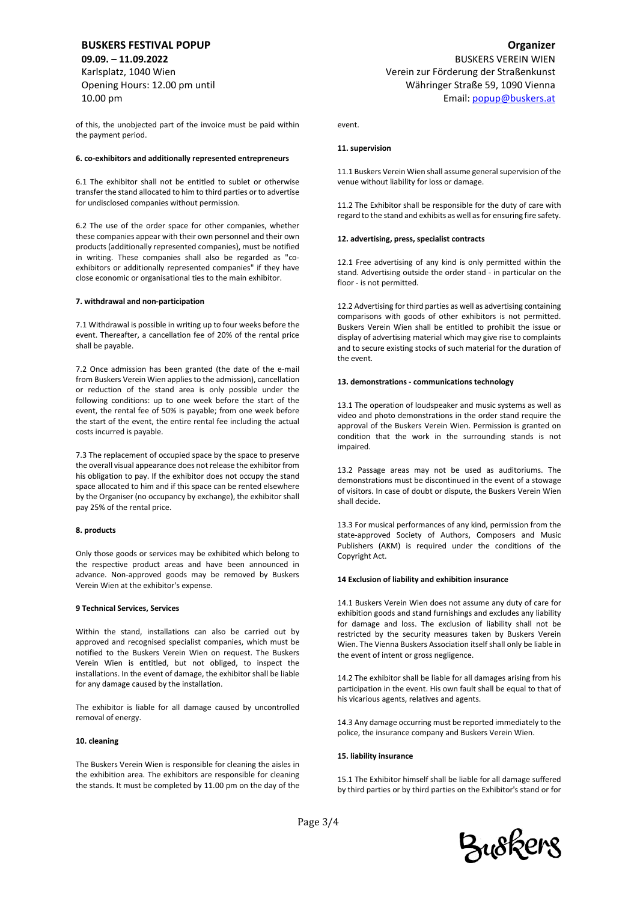# **BUSKERS FESTIVAL POPUP**

**09.09. – 11.09.2022** Karlsplatz, 1040 Wien Opening Hours: 12.00 pm until 10.00 pm

of this, the unobjected part of the invoice must be paid within the payment period.

#### **6. co-exhibitors and additionally represented entrepreneurs**

6.1 The exhibitor shall not be entitled to sublet or otherwise transfer the stand allocated to him to third parties or to advertise for undisclosed companies without permission.

6.2 The use of the order space for other companies, whether these companies appear with their own personnel and their own products (additionally represented companies), must be notified in writing. These companies shall also be regarded as "coexhibitors or additionally represented companies" if they have close economic or organisational ties to the main exhibitor.

#### **7. withdrawal and non-participation**

7.1 Withdrawal is possible in writing up to four weeks before the event. Thereafter, a cancellation fee of 20% of the rental price shall be payable.

7.2 Once admission has been granted (the date of the e-mail from Buskers Verein Wien applies to the admission), cancellation or reduction of the stand area is only possible under the following conditions: up to one week before the start of the event, the rental fee of 50% is payable; from one week before the start of the event, the entire rental fee including the actual costs incurred is payable.

7.3 The replacement of occupied space by the space to preserve the overall visual appearance does not release the exhibitor from his obligation to pay. If the exhibitor does not occupy the stand space allocated to him and if this space can be rented elsewhere by the Organiser (no occupancy by exchange), the exhibitor shall pay 25% of the rental price.

### **8. products**

Only those goods or services may be exhibited which belong to the respective product areas and have been announced in advance. Non-approved goods may be removed by Buskers Verein Wien at the exhibitor's expense.

#### **9 Technical Services, Services**

Within the stand, installations can also be carried out by approved and recognised specialist companies, which must be notified to the Buskers Verein Wien on request. The Buskers Verein Wien is entitled, but not obliged, to inspect the installations. In the event of damage, the exhibitor shall be liable for any damage caused by the installation.

The exhibitor is liable for all damage caused by uncontrolled removal of energy.

#### **10. cleaning**

The Buskers Verein Wien is responsible for cleaning the aisles in the exhibition area. The exhibitors are responsible for cleaning the stands. It must be completed by 11.00 pm on the day of the

BUSKERS VEREIN WIEN Verein zur Förderung der Straßenkunst Währinger Straße 59, 1090 Vienna Email[: popup@buskers.at](mailto:popup@buskers.at)

event.

## **11. supervision**

11.1 Buskers Verein Wien shall assume general supervision of the venue without liability for loss or damage.

11.2 The Exhibitor shall be responsible for the duty of care with regard to the stand and exhibits as well as for ensuring fire safety.

## **12. advertising, press, specialist contracts**

12.1 Free advertising of any kind is only permitted within the stand. Advertising outside the order stand - in particular on the floor - is not permitted.

12.2 Advertising for third parties as well as advertising containing comparisons with goods of other exhibitors is not permitted. Buskers Verein Wien shall be entitled to prohibit the issue or display of advertising material which may give rise to complaints and to secure existing stocks of such material for the duration of the event.

#### **13. demonstrations - communications technology**

13.1 The operation of loudspeaker and music systems as well as video and photo demonstrations in the order stand require the approval of the Buskers Verein Wien. Permission is granted on condition that the work in the surrounding stands is not impaired.

13.2 Passage areas may not be used as auditoriums. The demonstrations must be discontinued in the event of a stowage of visitors. In case of doubt or dispute, the Buskers Verein Wien shall decide.

13.3 For musical performances of any kind, permission from the state-approved Society of Authors, Composers and Music Publishers (AKM) is required under the conditions of the Copyright Act.

#### **14 Exclusion of liability and exhibition insurance**

14.1 Buskers Verein Wien does not assume any duty of care for exhibition goods and stand furnishings and excludes any liability for damage and loss. The exclusion of liability shall not be restricted by the security measures taken by Buskers Verein Wien. The Vienna Buskers Association itself shall only be liable in the event of intent or gross negligence.

14.2 The exhibitor shall be liable for all damages arising from his participation in the event. His own fault shall be equal to that of his vicarious agents, relatives and agents.

14.3 Any damage occurring must be reported immediately to the police, the insurance company and Buskers Verein Wien.

#### **15. liability insurance**

15.1 The Exhibitor himself shall be liable for all damage suffered by third parties or by third parties on the Exhibitor's stand or for